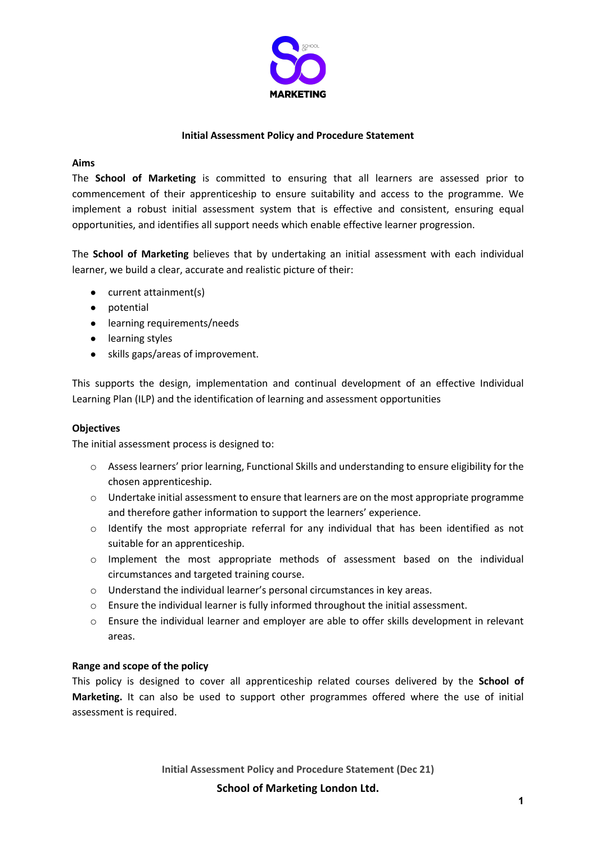

# **Initial Assessment Policy and Procedure Statement**

### **Aims**

The **School of Marketing** is committed to ensuring that all learners are assessed prior to commencement of their apprenticeship to ensure suitability and access to the programme. We implement a robust initial assessment system that is effective and consistent, ensuring equal opportunities, and identifies all support needs which enable effective learner progression.

The **School of Marketing** believes that by undertaking an initial assessment with each individual learner, we build a clear, accurate and realistic picture of their:

- current attainment(s)
- potential
- learning requirements/needs
- learning styles
- skills gaps/areas of improvement.

This supports the design, implementation and continual development of an effective Individual Learning Plan (ILP) and the identification of learning and assessment opportunities

# **Objectives**

The initial assessment process is designed to:

- $\circ$  Assess learners' prior learning, Functional Skills and understanding to ensure eligibility for the chosen apprenticeship.
- $\circ$  Undertake initial assessment to ensure that learners are on the most appropriate programme and therefore gather information to support the learners' experience.
- $\circ$  Identify the most appropriate referral for any individual that has been identified as not suitable for an apprenticeship.
- o Implement the most appropriate methods of assessment based on the individual circumstances and targeted training course.
- o Understand the individual learner's personal circumstances in key areas.
- $\circ$  Ensure the individual learner is fully informed throughout the initial assessment.
- $\circ$  Ensure the individual learner and employer are able to offer skills development in relevant areas.

#### **Range and scope of the policy**

This policy is designed to cover all apprenticeship related courses delivered by the **School of Marketing.** It can also be used to support other programmes offered where the use of initial assessment is required.

**Initial Assessment Policy and Procedure Statement (Dec 21)** 

**School of Marketing London Ltd.**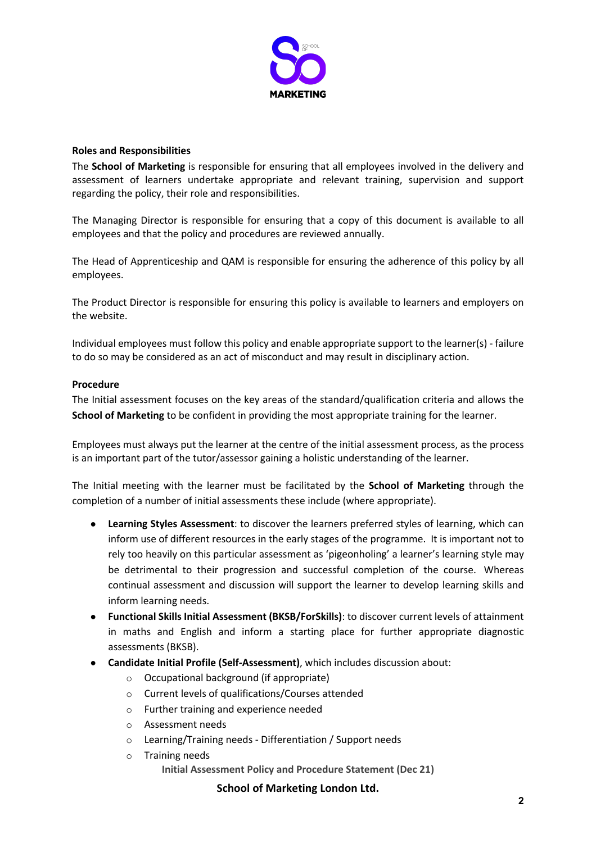

### **Roles and Responsibilities**

The **School of Marketing** is responsible for ensuring that all employees involved in the delivery and assessment of learners undertake appropriate and relevant training, supervision and support regarding the policy, their role and responsibilities.

The Managing Director is responsible for ensuring that a copy of this document is available to all employees and that the policy and procedures are reviewed annually.

The Head of Apprenticeship and QAM is responsible for ensuring the adherence of this policy by all employees.

The Product Director is responsible for ensuring this policy is available to learners and employers on the website.

Individual employees must follow this policy and enable appropriate support to the learner(s) - failure to do so may be considered as an act of misconduct and may result in disciplinary action.

## **Procedure**

The Initial assessment focuses on the key areas of the standard/qualification criteria and allows the **School of Marketing** to be confident in providing the most appropriate training for the learner.

Employees must always put the learner at the centre of the initial assessment process, as the process is an important part of the tutor/assessor gaining a holistic understanding of the learner.

The Initial meeting with the learner must be facilitated by the **School of Marketing** through the completion of a number of initial assessments these include (where appropriate).

- **Learning Styles Assessment**: to discover the learners preferred styles of learning, which can inform use of different resources in the early stages of the programme. It is important not to rely too heavily on this particular assessment as 'pigeonholing' a learner's learning style may be detrimental to their progression and successful completion of the course. Whereas continual assessment and discussion will support the learner to develop learning skills and inform learning needs.
- **Functional Skills Initial Assessment (BKSB/ForSkills)**: to discover current levels of attainment in maths and English and inform a starting place for further appropriate diagnostic assessments (BKSB).
- **Candidate Initial Profile (Self-Assessment)**, which includes discussion about:
	- o Occupational background (if appropriate)
	- o Current levels of qualifications/Courses attended
	- o Further training and experience needed
	- o Assessment needs
	- o Learning/Training needs Differentiation / Support needs
	- **Initial Assessment Policy and Procedure Statement (Dec 21)**  o Training needs

**School of Marketing London Ltd.**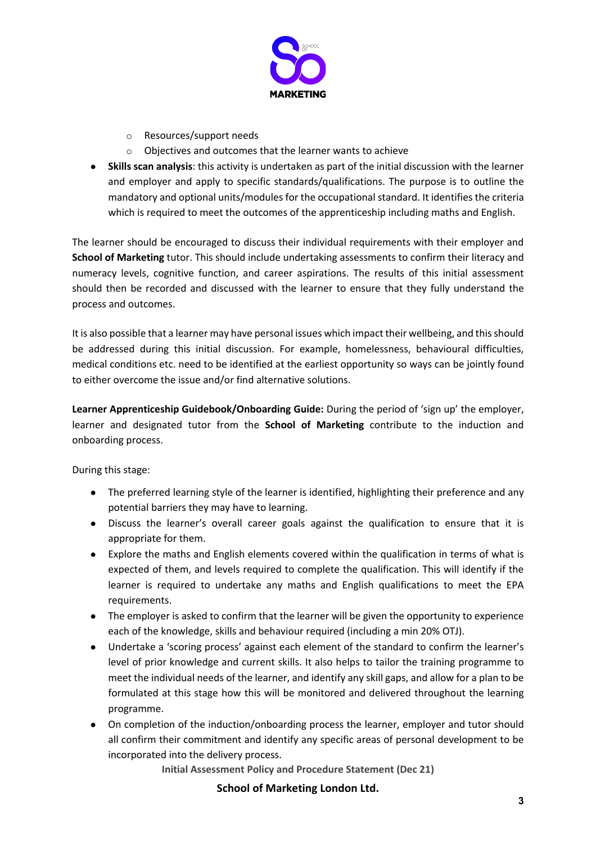

- o Resources/support needs
- o Objectives and outcomes that the learner wants to achieve
- **Skills scan analysis**: this activity is undertaken as part of the initial discussion with the learner and employer and apply to specific standards/qualifications. The purpose is to outline the mandatory and optional units/modules for the occupational standard. It identifies the criteria which is required to meet the outcomes of the apprenticeship including maths and English.

The learner should be encouraged to discuss their individual requirements with their employer and **School of Marketing** tutor. This should include undertaking assessments to confirm their literacy and numeracy levels, cognitive function, and career aspirations. The results of this initial assessment should then be recorded and discussed with the learner to ensure that they fully understand the process and outcomes.

It is also possible that a learner may have personal issues which impact their wellbeing, and this should be addressed during this initial discussion. For example, homelessness, behavioural difficulties, medical conditions etc. need to be identified at the earliest opportunity so ways can be jointly found to either overcome the issue and/or find alternative solutions.

**Learner Apprenticeship Guidebook/Onboarding Guide:** During the period of 'sign up' the employer, learner and designated tutor from the **School of Marketing** contribute to the induction and onboarding process.

During this stage:

- The preferred learning style of the learner is identified, highlighting their preference and any potential barriers they may have to learning.
- Discuss the learner's overall career goals against the qualification to ensure that it is appropriate for them.
- Explore the maths and English elements covered within the qualification in terms of what is expected of them, and levels required to complete the qualification. This will identify if the learner is required to undertake any maths and English qualifications to meet the EPA requirements.
- The employer is asked to confirm that the learner will be given the opportunity to experience each of the knowledge, skills and behaviour required (including a min 20% OTJ).
- Undertake a 'scoring process' against each element of the standard to confirm the learner's level of prior knowledge and current skills. It also helps to tailor the training programme to meet the individual needs of the learner, and identify any skill gaps, and allow for a plan to be formulated at this stage how this will be monitored and delivered throughout the learning programme.
- On completion of the induction/onboarding process the learner, employer and tutor should all confirm their commitment and identify any specific areas of personal development to be incorporated into the delivery process.

**Initial Assessment Policy and Procedure Statement (Dec 21)** 

**School of Marketing London Ltd.**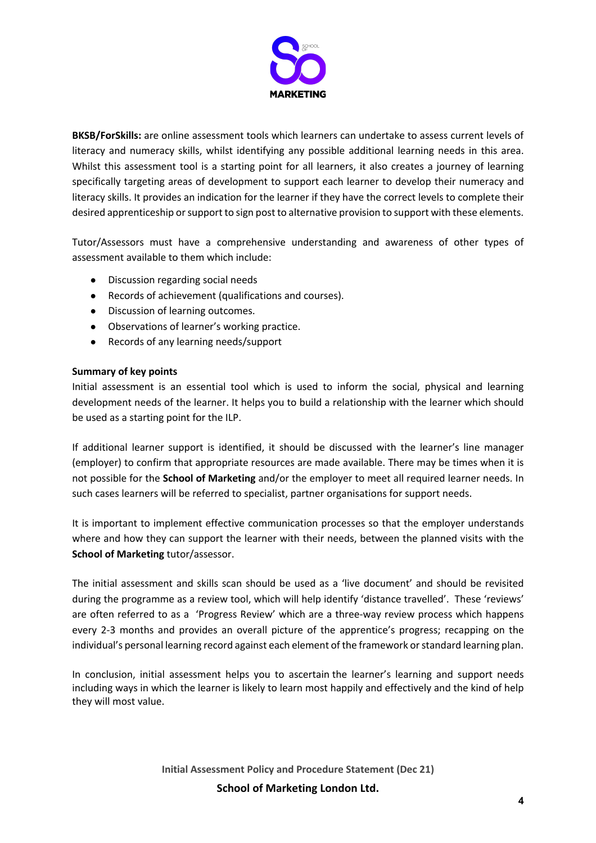

**BKSB/ForSkills:** are online assessment tools which learners can undertake to assess current levels of literacy and numeracy skills, whilst identifying any possible additional learning needs in this area. Whilst this assessment tool is a starting point for all learners, it also creates a journey of learning specifically targeting areas of development to support each learner to develop their numeracy and literacy skills. It provides an indication for the learner if they have the correct levels to complete their desired apprenticeship or support to sign post to alternative provision to support with these elements.

Tutor/Assessors must have a comprehensive understanding and awareness of other types of assessment available to them which include:

- Discussion regarding social needs
- Records of achievement (qualifications and courses).
- Discussion of learning outcomes.
- Observations of learner's working practice.
- Records of any learning needs/support

## **Summary of key points**

Initial assessment is an essential tool which is used to inform the social, physical and learning development needs of the learner. It helps you to build a relationship with the learner which should be used as a starting point for the ILP.

If additional learner support is identified, it should be discussed with the learner's line manager (employer) to confirm that appropriate resources are made available. There may be times when it is not possible for the **School of Marketing** and/or the employer to meet all required learner needs. In such cases learners will be referred to specialist, partner organisations for support needs.

It is important to implement effective communication processes so that the employer understands where and how they can support the learner with their needs, between the planned visits with the **School of Marketing** tutor/assessor.

The initial assessment and skills scan should be used as a 'live document' and should be revisited during the programme as a review tool, which will help identify 'distance travelled'. These 'reviews' are often referred to as a 'Progress Review' which are a three-way review process which happens every 2-3 months and provides an overall picture of the apprentice's progress; recapping on the individual's personal learning record against each element of the framework or standard learning plan.

In conclusion, initial assessment helps you to ascertain the learner's learning and support needs including ways in which the learner is likely to learn most happily and effectively and the kind of help they will most value.